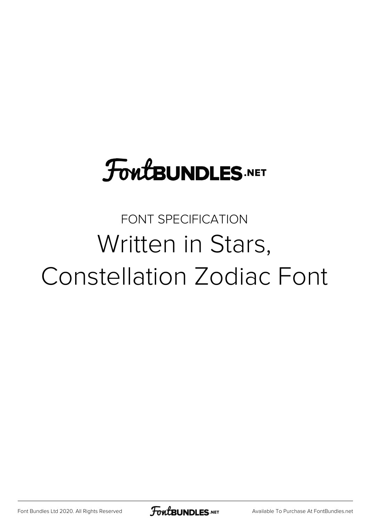# **FoutBUNDLES.NET**

### FONT SPECIFICATION Written in Stars, Constellation Zodiac Font

[Font Bundles Ltd 2020. All Rights Reserved](https://fontbundles.net/) **FoutBUNDLES.NET** [Available To Purchase At FontBundles.net](https://fontbundles.net/)

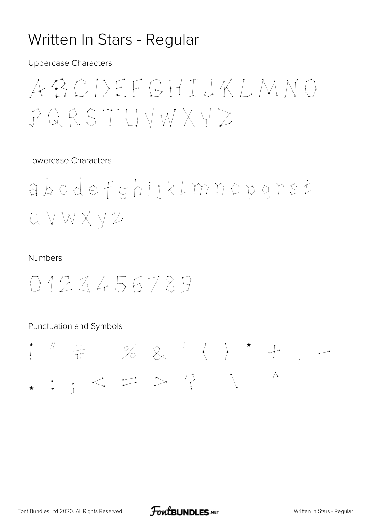### Written In Stars - Regular

**Uppercase Characters** 

## ABCDEFGHIJKLMNO  $PQRSTUWWXYZ$

### Lowercase Characters

abcdefghijklmnapgrst UVWXYZ

#### **Numbers**

0123456789

### Punctuation and Symbols

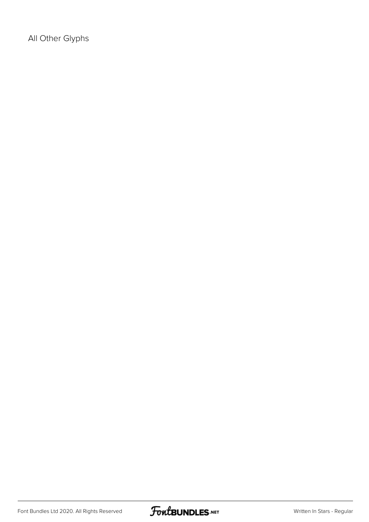All Other Glyphs